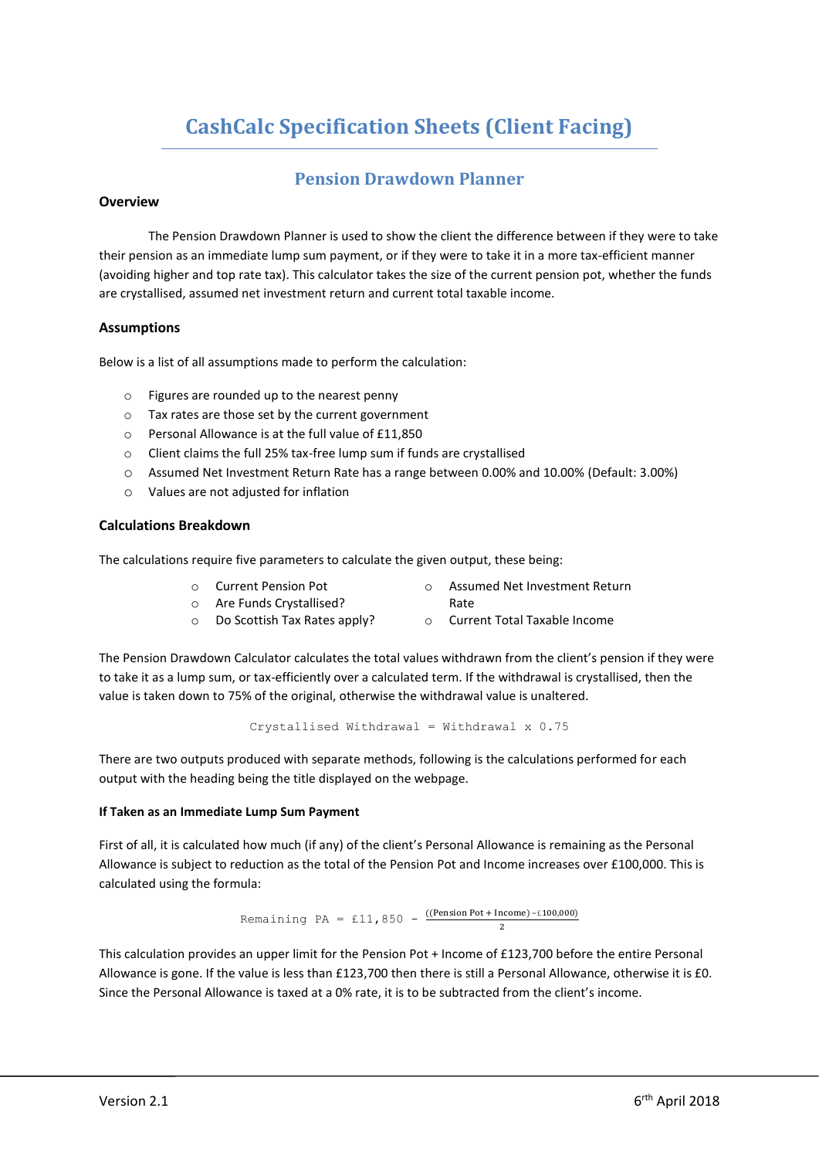# **CashCalc Specification Sheets (Client Facing)**

## **Pension Drawdown Planner**

## **Overview**

The Pension Drawdown Planner is used to show the client the difference between if they were to take their pension as an immediate lump sum payment, or if they were to take it in a more tax-efficient manner (avoiding higher and top rate tax). This calculator takes the size of the current pension pot, whether the funds are crystallised, assumed net investment return and current total taxable income.

## **Assumptions**

Below is a list of all assumptions made to perform the calculation:

- o Figures are rounded up to the nearest penny
- o Tax rates are those set by the current government
- o Personal Allowance is at the full value of £11,850
- o Client claims the full 25% tax-free lump sum if funds are crystallised
- o Assumed Net Investment Return Rate has a range between 0.00% and 10.00% (Default: 3.00%)
- o Values are not adjusted for inflation

## **Calculations Breakdown**

The calculations require five parameters to calculate the given output, these being:

- o Current Pension Pot
- o Assumed Net Investment Return Rate
- o Are Funds Crystallised?
- o Do Scottish Tax Rates apply? o Current Total Taxable Income
- 

The Pension Drawdown Calculator calculates the total values withdrawn from the client's pension if they were to take it as a lump sum, or tax-efficiently over a calculated term. If the withdrawal is crystallised, then the value is taken down to 75% of the original, otherwise the withdrawal value is unaltered.

Crystallised Withdrawal = Withdrawal  $x$  0.75

There are two outputs produced with separate methods, following is the calculations performed for each output with the heading being the title displayed on the webpage.

## **If Taken as an Immediate Lump Sum Payment**

First of all, it is calculated how much (if any) of the client's Personal Allowance is remaining as the Personal Allowance is subject to reduction as the total of the Pension Pot and Income increases over £100,000. This is calculated using the formula:

> Remaining PA = £11,850 -  $\frac{(\text{Pension Pot} + \text{Income}) - \text{£100,000})}{2}$ 2

This calculation provides an upper limit for the Pension Pot + Income of £123,700 before the entire Personal Allowance is gone. If the value is less than £123,700 then there is still a Personal Allowance, otherwise it is £0. Since the Personal Allowance is taxed at a 0% rate, it is to be subtracted from the client's income.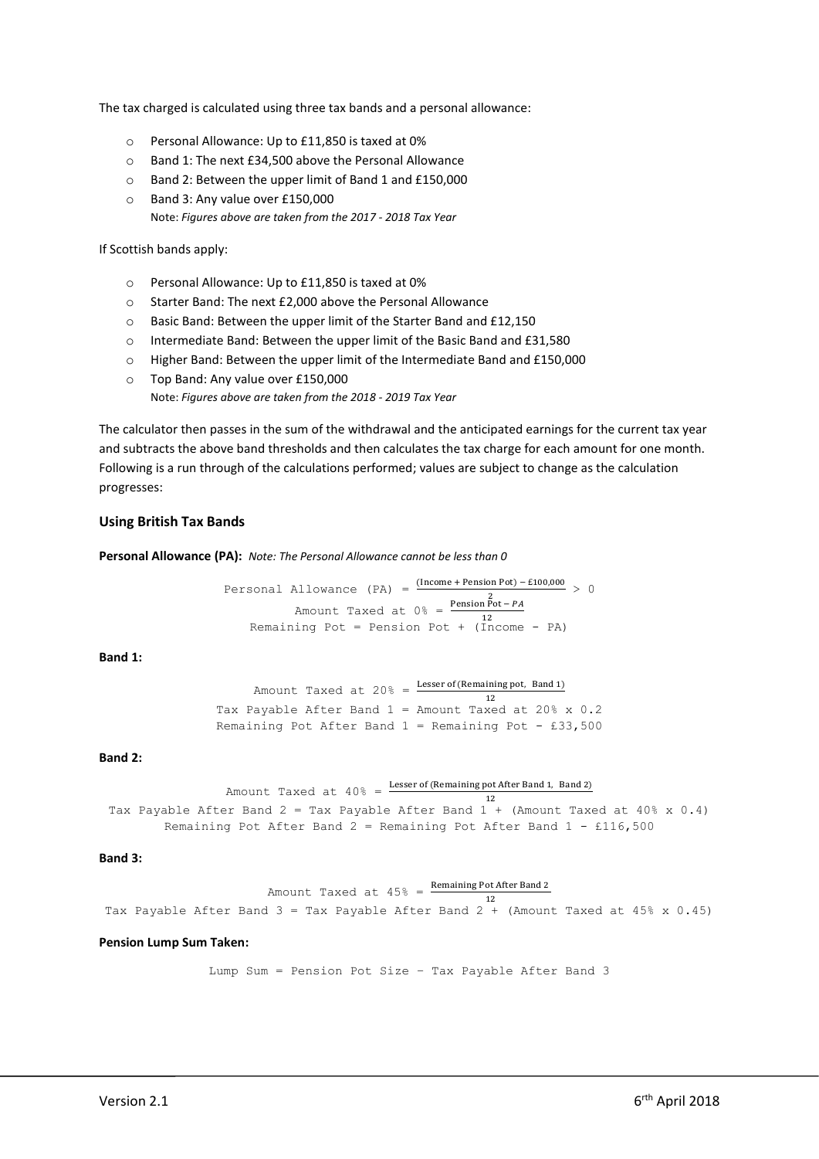The tax charged is calculated using three tax bands and a personal allowance:

- o Personal Allowance: Up to £11,850 is taxed at 0%
- o Band 1: The next £34,500 above the Personal Allowance
- o Band 2: Between the upper limit of Band 1 and £150,000
- o Band 3: Any value over £150,000 Note: *Figures above are taken from the 2017 - 2018 Tax Year*

If Scottish bands apply:

- o Personal Allowance: Up to £11,850 is taxed at 0%
- o Starter Band: The next £2,000 above the Personal Allowance
- o Basic Band: Between the upper limit of the Starter Band and £12,150
- o Intermediate Band: Between the upper limit of the Basic Band and £31,580
- o Higher Band: Between the upper limit of the Intermediate Band and £150,000
- o Top Band: Any value over £150,000

Note: *Figures above are taken from the 2018 - 2019 Tax Year*

The calculator then passes in the sum of the withdrawal and the anticipated earnings for the current tax year and subtracts the above band thresholds and then calculates the tax charge for each amount for one month. Following is a run through of the calculations performed; values are subject to change as the calculation progresses:

## **Using British Tax Bands**

**Personal Allowance (PA):** *Note: The Personal Allowance cannot be less than 0*

Personal Allowance (PA) =  $\frac{\text{(Income + Pension Pot)} - \text{£100,000}}{2} > 0$ Amount Taxed at  $0 \frac{2}{3} = \frac{\text{Pension Pot} - \text{PA}}{12}$ Remaining Pot = Pension Pot +  $(Income - PA)$ 

**Band 1:**

Amount Taxed at  $20\% = \frac{\text{Lesser of (Remaining pot, Band 1)}}{12}$ Tax Payable After Band  $1 =$  Amount Taxed at 20% x 0.2 Remaining Pot After Band  $1$  = Remaining Pot - £33,500

### **Band 2:**

```
Amount Taxed at 40% = Lesser of (Remaining pot After Band 1, Band 2)
12
Tax Payable After Band 2 = Tax Payable After Band 1 + (Amount Taxed at 40% x 0.4)
        Remaining Pot After Band 2 = Remaining Pot After Band 1 - £116,500
```
**Band 3:**

Amount Taxed at  $45\% = \frac{\text{Remaining Pot After Band 2}}{12}$ Tax Payable After Band  $3 =$  Tax Payable After Band  $2 +$  (Amount Taxed at 45% x 0.45)

#### **Pension Lump Sum Taken:**

Lump Sum = Pension Pot Size – Tax Payable After Band 3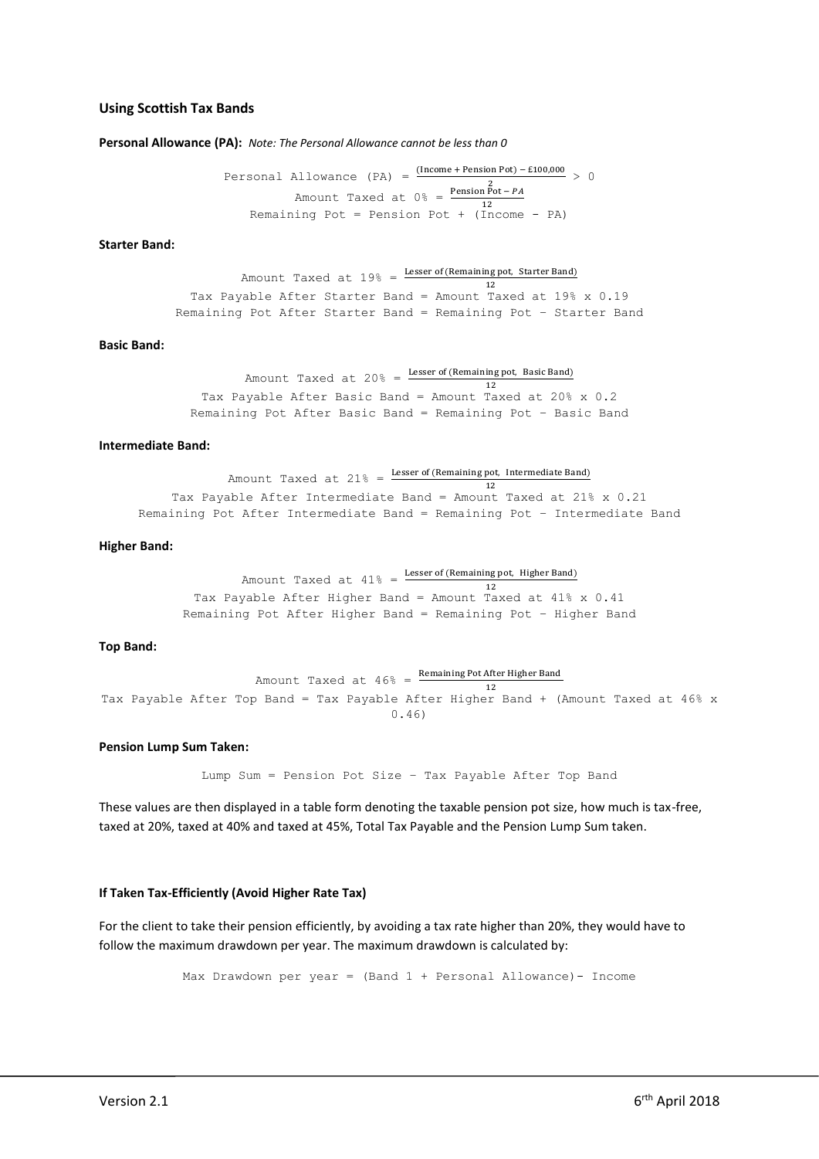#### **Using Scottish Tax Bands**

**Personal Allowance (PA):** *Note: The Personal Allowance cannot be less than 0*

Personal Allowance (PA) =  $\frac{\text{(Income + Pension Pot)} - \text{£100,000}}{2} > 0$ Amount Taxed at  $0 \frac{2}{3} = \frac{\text{Pension Pot} - \text{PA}}{12}$ Remaining Pot = Pension Pot +  $(Income - PA)$ 

#### **Starter Band:**

Amount Taxed at  $19\% = \frac{\text{Lesser of (Remaining pot, Starter Band)}}{12}$ Tax Payable After Starter Band = Amount Taxed at 19% x 0.19 Remaining Pot After Starter Band = Remaining Pot – Starter Band

## **Basic Band:**

Amount Taxed at 20% =  $\frac{\text{Lesser of (Remaining pot, Basic Band)}}{12}$ Tax Payable After Basic Band = Amount Taxed at 20% x 0.2 Remaining Pot After Basic Band = Remaining Pot – Basic Band

#### **Intermediate Band:**

Amount Taxed at  $21\% = \frac{\text{Lesser of (Remaining pot, Intermediate Band)}}{\text{Laser of (Remaining pot, International)}}$ 12 Tax Payable After Intermediate Band = Amount Taxed at 21% x 0.21 Remaining Pot After Intermediate Band = Remaining Pot – Intermediate Band

#### **Higher Band:**

Amount Taxed at  $41\% = \frac{\text{Lesser of (Remaining pot, Higher Band)}}{12}$ Tax Payable After Higher Band = Amount Taxed at 41% x 0.41 Remaining Pot After Higher Band = Remaining Pot – Higher Band

#### **Top Band:**

Amount Taxed at  $46\%$  =  $\frac{\text{Remaining Pot After Higher Band}}{\sqrt{2}}$ 12 Tax Payable After Top Band = Tax Payable After Higher Band + (Amount Taxed at 46% x 0.46)

#### **Pension Lump Sum Taken:**

Lump Sum = Pension Pot Size – Tax Payable After Top Band

These values are then displayed in a table form denoting the taxable pension pot size, how much is tax-free, taxed at 20%, taxed at 40% and taxed at 45%, Total Tax Payable and the Pension Lump Sum taken.

#### **If Taken Tax-Efficiently (Avoid Higher Rate Tax)**

For the client to take their pension efficiently, by avoiding a tax rate higher than 20%, they would have to follow the maximum drawdown per year. The maximum drawdown is calculated by:

Max Drawdown per year = (Band 1 + Personal Allowance)- Income